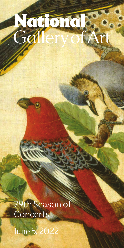# Naponare<br>GaleryotA

79th Season of **Concerts** 

June 5, 2022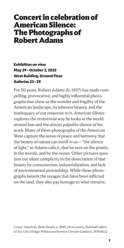## Concert in celebration of American Silence: The Photographs of Robert Adams

### Exhibition on view May 29 – October 2, 2022 West Building, Ground Floor Galleries 23 – 29

For 50 years, Robert Adams (b. 1937) has made compelling, provocative, and highly influential photographs that show us the wonder and fragility of the American landscape, its inherent beauty, and the inadequacy of our response to it. *American Silence* explores the reverential way he looks at the world around him and the almost palpable silence of his work. Many of these photographs of the American West capture the sense of peace and harmony that the beauty of nature can instill in us — "the silence of light," as Adams calls it, that he sees on the prairie, in the woods, and by the ocean. Other pictures question our silent complicity in the desecration of that beauty by consumerism, industrialization, and lack of environmental stewardship. While these photographs lament the ravages that have been inflicted on the land, they also pay homage to what remains.

Cover: American, *Birds* (detail), c. 1840, oil on canvas, National Gallery of Art, Gift of Edgar William and Bernice Chrysler Garbisch, 1978.80.12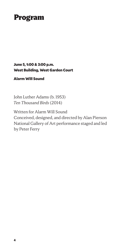## Program

June 5, 1:00 & 3:00 p.m. West Building, West Garden Court

#### Alarm Will Sound

John Luther Adams (b. 1953) *Ten Thousand Birds* (2014)

Written for Alarm Will Sound Conceived, designed, and directed by Alan Pierson National Gallery of Art performance staged and led by Peter Ferry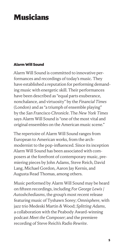# Musicians

#### Alarm Will Sound

Alarm Will Sound is committed to innovative performances and recordings of today's music. They have established a reputation for performing demanding music with energetic skill. Their performances have been described as "equal parts exuberance, nonchalance, and virtuosity" by the *Financial Times* (London) and as "a triumph of ensemble playing" by the *San Francisco Chronicle*. The *New York Times* says Alarm Will Sound is "one of the most vital and original ensembles on the American music scene."

The repertoire of Alarm Will Sound ranges from European to American works, from the archmodernist to the pop-influenced. Since its inception Alarm Will Sound has been associated with composers at the forefront of contemporary music, premiering pieces by John Adams, Steve Reich, David Lang, Michael Gordon, Aaron Jay Kernis, and Augusta Read Thomas, among others.

Music performed by Alarm Will Sound may be heard on fifteen recordings, including *For George Lewis | Autoshchediasms*, the group's most recent release featuring music of Tyshawn Sorey; *Omnisphere*, with jazz trio Medeski Martin & Wood; *Splitting Adams*, a collaboration with the Peabody Award-winning podcast *Meet the Composer*; and the premiere recording of Steve Reich's *Radio Rewrite*.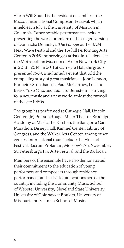Alarm Will Sound is the resident ensemble at the Mizzou International Composers Festival, which is held each July at the University of Missouri in Columbia. Other notable performances include presenting the world premiere of the staged version of Donnacha Dennehy's *The Hunger* at the BAM Next Wave Festival and the Touhill Performing Arts Center in 2016 and serving as artists-in-residence at the Metropolitan Museum of Art in New York City in 2013 – 2014. In 2011 at Carnegie Hall, the group presented *1969*, a multimedia event that told the compelling story of great musicians — John Lennon, Karlheinz Stockhausen, Paul McCartney, Luciano Berio, Yoko Ono, and Leonard Bernstein — striving for a new music and a new world amidst the turmoil of the late 1960s.

The group has performed at Carnegie Hall, Lincoln Center, (le) Poisson Rouge, Miller Theatre, Brooklyn Academy of Music, the Kitchen, the Bang on a Can Marathon, Disney Hall, Kimmel Center, Library of Congress, and the Walker Arts Center, among other venues. International tours include the Holland Festival, Sacrum Profanum, Moscow's Art November, St. Petersburg's Pro Arte Festival, and the Barbican.

Members of the ensemble have also demonstrated their commitment to the education of young performers and composers through residency performances and activities at locations across the country, including the Community Music School of Webster University, Cleveland State University, University of Colorado at Boulder, University of Missouri, and Eastman School of Music.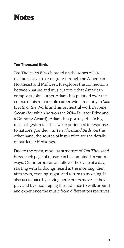## **Notes**

#### Ten Thousand Birds

*Ten Thousand Birds* is based on the songs of birds that are native to or migrate through the American Northeast and Midwest. It explores the connections between nature and music, a topic that American composer John Luther Adams has pursued over the course of his remarkable career. Most recently in *Sila: Breath of the World* and his orchestral work *Become Ocean* (for which he won the 2014 Pulitzer Prize and a Grammy Award), Adams has portrayed — in big musical gestures — the awe experienced in response to nature's grandeur. In *Ten Thousand Birds*, on the other hand, the source of inspiration are the details of particular birdsongs.

Due to the open, modular structure of *Ten Thousand Birds*, each page of music can be combined in various ways. Our interpretation follows the cycle of a day, starting with birdsongs heard in the morning, then afternoon, evening, night, and return to morning. It also uses space by having performers move as they play and by encouraging the audience to walk around and experience the music from different perspectives.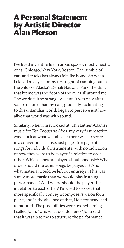## A Personal Statement by Artistic Director Alan Pierson

I've lived my entire life in urban spaces, mostly hectic ones: Chicago, New York, Boston. The rumble of cars and trucks has always felt like home. So when I closed my eyes for my first night of camping out in the wilds of Alaska's Denali National Park, the thing that hit me was the depth of the quiet all around me. The world felt so strangely silent. It was only after some minutes that my ears, gradually acclimating to this unfamiliar world, began to perceive just how alive that world was with sound.

Similarly, when I first looked at John Luther Adams's music for *Ten Thousand Birds*, my very first reaction was shock at what was absent: there was no score in a conventional sense, just page after page of songs for individual instruments, with no indication of how they were to be played in relation to each other. Which songs are played simultaneously? What order should the other songs be played in? And what material would be left out entirely? (This was surely more music than we would play in a single performance!) And where should the players be in relation to each other? I'm used to scores that more specifically convey a composer's vision for a piece, and in the absence of that, I felt confused and unmoored. The possibilities were overwhelming. I called John. "Um, what do I do here?" John said that it was up to me to structure the performance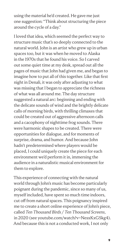using the material he'd created. He gave me just one suggestion: "Think about structuring the piece around the cycle of a day."

I loved that idea, which seemed the perfect way to structure music that's so deeply connected to the natural world. John is an artist who grew up in urban spaces too, but it was when he moved to Alaska in the 1970s that he found his voice. So I carved out some quiet time at my desk, spread out all the pages of music that John had given me, and began to imagine how to put all of this together. Like that first night in Denali, it was only after adjusting to what was missing that I began to appreciate the richness of what was all around me. The day structure suggested a natural arc: beginning and ending with the delicate sounds of wind and the brightly delicate calls of morning birds, with thrilling climaxes that could be created out of aggressive afternoon calls and a cacophony of nighttime frog sounds. There were harmonic shapes to be created. There were opportunities for dialogue, and for moments of surprise, drama, and humor. And because John hadn't predetermined where players would be placed, I could uniquely create the piece for each environment we'd perform it in, immersing the audience in a naturalistic musical environment for them to explore.

This experience of connecting with the natural world through John's music has become particularly poignant during the pandemic, since so many of us, myself included, have spent so much time indoors, cut off from natural spaces. This poignancy inspired me to create a short online experience of John's piece, called *Ten Thousand Birds / Ten Thousand Screens*, in 2020 (see youtube.com/watch?v=NesxKxGSkg4). And because this is not a conducted work, I not only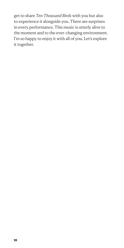get to share *Ten Thousand Birds* with you but also to experience it alongside you. There are surprises in every performance. This music is utterly alive to the moment and to the ever-changing environment. I'm so happy to enjoy it with all of you. Let's explore it together.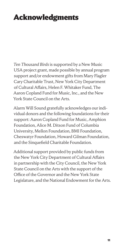# Acknowledgments

*Ten Thousand Birds* is supported by a New Music USA project grant, made possible by annual program support and/or endowment gifts from Mary Flagler Cary Charitable Trust, New York City Department of Cultural Affairs, Helen F. Whitaker Fund, The Aaron Copland Fund for Music, Inc., and the New York State Council on the Arts.

Alarm Will Sound gratefully acknowledges our individual donors and the following foundations for their support: Aaron Copland Fund for Music, Amphion Foundation, Alice M. Ditson Fund of Columbia University, Mellon Foundation, BMI Foundation, Cheswatyr Foundation, Howard Gilman Foundation, and the Sinquefield Charitable Foundation.

Additional support provided by public funds from the New York City Department of Cultural Affairs in partnership with the City Council, the New York State Council on the Arts with the support of the Office of the Governor and the New York State Legislature, and the National Endowment for the Arts.